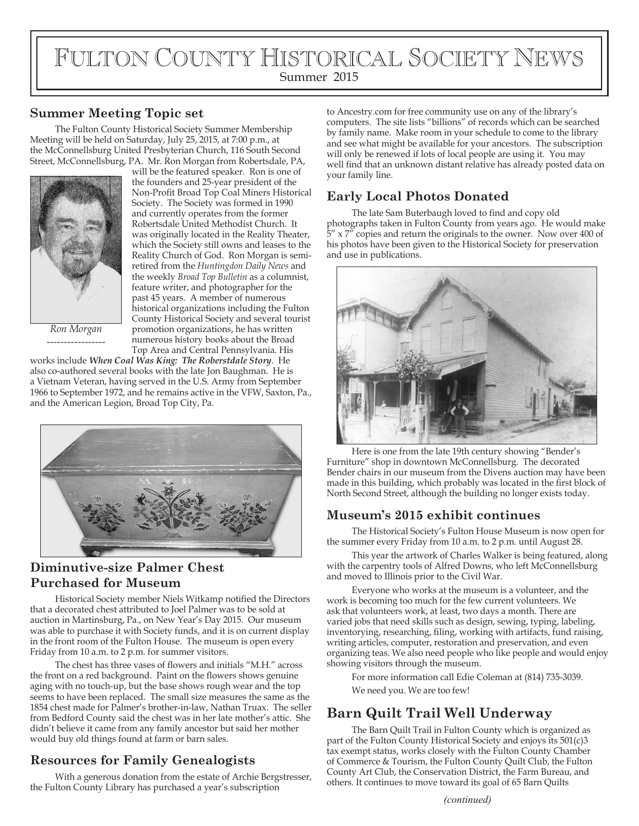# FULTON COUNTY HISTORICAL SOCIETY NEWS Summer 2015

#### **Summer Meeting Topic set**

The Fulton County Historical Society Summer Membership Meeting will be held on Saturday, July 25, 2015, at 7:00 p.m., at the McConnellsburg United Presbyterian Church, 116 South Second Street, McConnellsburg, PA. Mr. Ron Morgan from Robertsdale, PA,



will be the featured speaker. Ron is one of the founders and 25-year president of the Non-Profit Broad Top Coal Miners Historical Society. The Society was formed in 1990 and currently operates from the former Robertsdale United Methodist Church. It was originally located in the Reality Theater, which the Society still owns and leases to the Reality Church of God. Ron Morgan is semiretired from the *Huntingdon Daily News* and the weekly *Broad Top Bulletin* as a columnist, feature writer, and photographer for the past 45 years. A member of numerous historical organizations including the Fulton County Historical Society and several tourist promotion organizations, he has written numerous history books about the Broad Top Area and Central Pennsylvania. His

*Ron Morgan -----------------*

works include *When Coal Was King: The Roberstdale Story*. He also co-authored several books with the late Jon Baughman. He is a Vietnam Veteran, having served in the U.S. Army from September 1966 to September 1972, and he remains active in the VFW, Saxton, Pa., and the American Legion, Broad Top City, Pa.



### **Diminutive-size Palmer Chest Purchased for Museum**

Historical Society member Niels Witkamp notified the Directors that a decorated chest attributed to Joel Palmer was to be sold at auction in Martinsburg, Pa., on New Year's Day 2015. Our museum was able to purchase it with Society funds, and it is on current display in the front room of the Fulton House. The museum is open every Friday from 10 a.m. to 2 p.m. for summer visitors.

The chest has three vases of flowers and initials "M.H." across the front on a red background. Paint on the flowers shows genuine aging with no touch-up, but the base shows rough wear and the top seems to have been replaced. The small size measures the same as the 1854 chest made for Palmer's brother-in-law, Nathan Truax. The seller from Bedford County said the chest was in her late mother's attic. She didn't believe it came from any family ancestor but said her mother would buy old things found at farm or barn sales.

## **Resources for Family Genealogists**

With a generous donation from the estate of Archie Bergstresser, the Fulton County Library has purchased a year's subscription

to Ancestry.com for free community use on any of the library's computers. The site lists "billions" of records which can be searched by family name. Make room in your schedule to come to the library and see what might be available for your ancestors. The subscription will only be renewed if lots of local people are using it. You may well find that an unknown distant relative has already posted data on your family line.

## **Early Local Photos Donated**

The late Sam Buterbaugh loved to find and copy old photographs taken in Fulton County from years ago. He would make  $5''$  x  $7''$  copies and return the originals to the owner. Now over 400 of his photos have been given to the Historical Society for preservation and use in publications.



Here is one from the late 19th century showing "Bender's Furniture" shop in downtown McConnellsburg. The decorated Bender chairs in our museum from the Divens auction may have been made in this building, which probably was located in the first block of North Second Street, although the building no longer exists today.

### **Museum's 2015 exhibit continues**

The Historical Society's Fulton House Museum is now open for the summer every Friday from 10 a.m. to 2 p.m. until August 28.

This year the artwork of Charles Walker is being featured, along with the carpentry tools of Alfred Downs, who left McConnellsburg and moved to Illinois prior to the Civil War.

Everyone who works at the museum is a volunteer, and the work is becoming too much for the few current volunteers. We ask that volunteers work, at least, two days a month. There are varied jobs that need skills such as design, sewing, typing, labeling, inventorying, researching, filing, working with artifacts, fund raising, writing articles, computer, restoration and preservation, and even organizing teas. We also need people who like people and would enjoy showing visitors through the museum.

For more information call Edie Coleman at (814) 735-3039. We need you. We are too few!

# **Barn Quilt Trail Well Underway**

The Barn Quilt Trail in Fulton County which is organized as part of the Fulton County Historical Society and enjoys its 501(c)3 tax exempt status, works closely with the Fulton County Chamber of Commerce & Tourism, the Fulton County Quilt Club, the Fulton County Art Club, the Conservation District, the Farm Bureau, and others. It continues to move toward its goal of 65 Barn Quilts

*(continued)*